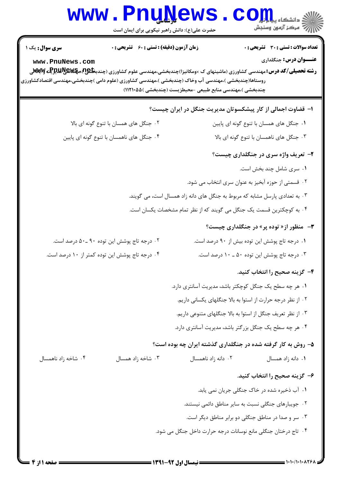| <b>سری سوال :</b> یک ۱                                                                                                                                                                                                                                            | زمان آزمون (دقیقه) : تستی : 60 ٪ تشریحی : 0                | <b>تعداد سوالات : تستی : 30 ٪ تشریحی : 0</b>                                |
|-------------------------------------------------------------------------------------------------------------------------------------------------------------------------------------------------------------------------------------------------------------------|------------------------------------------------------------|-----------------------------------------------------------------------------|
| www.PnuNews.com<br><b>رشته تحصیلی/کد درس: م</b> هندسی کشاورزی (ماشینهای ک ×ومکانیزا)چندبخشی،مهندسی علوم کشاورزی (چندب <b>خلیج) مچهلیپالیلیوچ پاباتهل</b> ی<br>روستاها(چندبخشی )،مهندسی آب وخاک (چندبخشی )،مهندسی کشاورزی (علوم دامی )چندبخشی،مهندسی اقتصادکشاورزی | چندبخشی )،مهندسی منابع طبیعی –محیطزیست (چندبخشی )۱۱۲۱۰۵۵ ( | عنـــوان درس: جنگلداری                                                      |
|                                                                                                                                                                                                                                                                   |                                                            | ا– قضاوت اجمالی از کار پیشکسوتان مدیریت جنگل در ایران چیست؟                 |
| ۰۲ جنگل های همسان با تنوع گونه ای بالا                                                                                                                                                                                                                            |                                                            | ۰۱ جنگل های همسان با تنوع گونه ای پایین                                     |
| ۰۴ جنگل های ناهمسان با تنوع گونه ای پایین                                                                                                                                                                                                                         |                                                            | ۰۳ جنگل های ناهمسان با تنوع گونه ای بالا                                    |
|                                                                                                                                                                                                                                                                   |                                                            | ۲- تعریف واژه سری در جنگلداری چیست؟                                         |
|                                                                                                                                                                                                                                                                   |                                                            | ۰۱ سری شامل چند بخش است.                                                    |
|                                                                                                                                                                                                                                                                   |                                                            | ۰۲ قسمتی از حوزه آبخیز به عنوان سری انتخاب می شود.                          |
|                                                                                                                                                                                                                                                                   |                                                            | ۰۳ به تعدادی پارسل مشابه که مربوط به جنگل های دانه زاد همسال است، می گویند. |
|                                                                                                                                                                                                                                                                   |                                                            | ۰۴ به کوچکترین قسمت یک جنگل می گویند که از نظر تمام مشخصات یکسان است.       |
|                                                                                                                                                                                                                                                                   |                                                            | <b>۳</b> - منظور از « توده پر » در جنگلداری چیست؟                           |
| ۰۲ درجه تاج پوشش این توده ۹۰ ـ۵۰ درصد است.                                                                                                                                                                                                                        |                                                            | ۰۱ درجه تاج پوشش این توده بیش از ۹۰ درصد است.                               |
| ۰۴ درجه تاج پوشش این توده کمتر از ۱۰ درصد است.                                                                                                                                                                                                                    |                                                            | ۰۳ درجه تاج پوشش این توده ۵۰ ـ ۱۰ درصد است.                                 |
|                                                                                                                                                                                                                                                                   |                                                            | ۴– گزینه صحیح را انتخاب کنید.                                               |
|                                                                                                                                                                                                                                                                   |                                                            | ۰۱ هر چه سطح یک جنگل کوچکتر باشد، مدیریت آسانتری دارد.                      |
|                                                                                                                                                                                                                                                                   |                                                            | ۰۲ از نظر درجه حرارت از استوا به بالا جنگلهای یکسانی داریم.                 |
|                                                                                                                                                                                                                                                                   |                                                            | ۰۳ از نظر تعریف جنگل از استوا به بالا جنگلهای متنوعی داریم.                 |
|                                                                                                                                                                                                                                                                   |                                                            | ۰۴ هر چه سطح یک جنگل بزرگتر باشد، مدیریت آسانتری دارد.                      |
|                                                                                                                                                                                                                                                                   |                                                            | ۵- روش به کار گرفته شده در جنگلداری گذشته ایران چه بوده است؟                |
| ۰۴ شاخه زاد ناهمسال<br>۰۳ شاخه زاد همسال                                                                                                                                                                                                                          | ۰۲ دانه زاد ناهمسال                                        | ۰۱ دانه زاد همسال                                                           |
|                                                                                                                                                                                                                                                                   |                                                            | ۶– گزینه صحیح را انتخاب کنید.                                               |
|                                                                                                                                                                                                                                                                   |                                                            | 1. آب ذخیره شده در خاک جنگلی جریان نمی یابد.                                |
|                                                                                                                                                                                                                                                                   |                                                            | ٠٢ جويبارهاى جنگلى نسبت به ساير مناطق دائمى نيستند.                         |
|                                                                                                                                                                                                                                                                   |                                                            |                                                                             |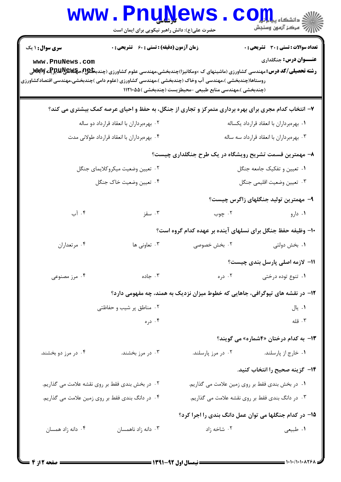| <b>WWW</b>                                                                                                                                | حضرت علی(ع): دانش راهبر نیکویی برای ایمان است      |                                                                                                                                                                                                  | ه دانشگاه پ <b>یا ب<sup>ا</sup> تو</b><br>رِ ۖ مرڪز آزمون وسنڊش               |
|-------------------------------------------------------------------------------------------------------------------------------------------|----------------------------------------------------|--------------------------------------------------------------------------------------------------------------------------------------------------------------------------------------------------|-------------------------------------------------------------------------------|
| سری سوال : ۱ یک<br>www.PnuNews.com<br>روستاها(چندبخشی )،مهندسی آب وخاک (چندبخشی )،مهندسی کشاورزی (علوم دامی )چندبخشی،مهندسی اقتصادکشاورزی | <b>زمان آزمون (دقیقه) : تستی : 60 ٪ تشریحی : 0</b> | <b>رشته تحصیلی/کد درس:</b> مهندسی کشاورزی (ماشینهای ک ×ومکانیزا)چندبخشی،مهندسی علوم کشاورزی (چندب <b>خلیج)،مچهلایپرایت MSVِTی</b><br>(چندبخشی )،مهندسی منابع طبیعی -محیطزیست (چندبخشی )۱۱۲۱۰۵۵ ( | <b>تعداد سوالات : تستی : 30 ٪ تشریحی : 0</b><br><b>عنـــوان درس:</b> جنگلداری |
|                                                                                                                                           |                                                    | ۷- انتخاب کدام مجری برای بهره برداری متمرکز و تجاری از جنگل، به حفظ و احیای عرصه کمک بیشتری می کند؟                                                                                              |                                                                               |
|                                                                                                                                           | ۰۲ بهرهبرداران با انعقاد قرارداد دو ساله           |                                                                                                                                                                                                  | ۰۱ بهرهبرداران با انعقاد قرارداد يكساله                                       |
|                                                                                                                                           | ۰۴ بهر مبرداران با انعقاد قرارداد طولانی مدت       |                                                                                                                                                                                                  | ۰۳ بهرهبرداران با انعقاد قرارداد سه ساله                                      |
|                                                                                                                                           |                                                    | ۸– مهمترین قسمت تشریح رویشگاه در یک طرح جنگلداری چیست؟                                                                                                                                           |                                                                               |
|                                                                                                                                           | ۰۲ تعيين وضعيت ميكروكلايماي جنگل                   |                                                                                                                                                                                                  | ۰۱ تعیین و تفکیک جامعه جنگل                                                   |
|                                                                                                                                           | ۰۴ تعيين وضعيت خاك جنگل                            |                                                                                                                                                                                                  | ۰۳ تعيين وضعيت اقليمي جنگل                                                    |
|                                                                                                                                           |                                                    |                                                                                                                                                                                                  | ۹– مهمترین تولید جنگلهای زاگرس چیست؟                                          |
| ۰۴ آب                                                                                                                                     | ۰۳ سقز                                             | ۰۲ چوب                                                                                                                                                                                           | ۰۱ دارو                                                                       |
|                                                                                                                                           |                                                    | ۱۰– وظیفه حفظ جنگل برای نسلهای آینده بر عهده کدام گروه است؟                                                                                                                                      |                                                                               |
| ۰۴ مرتعداران                                                                                                                              | ۰۳ تعاونی ها                                       | ۰۲ بخش خصوصی                                                                                                                                                                                     | ۰۱ بخش دولتی                                                                  |
|                                                                                                                                           |                                                    |                                                                                                                                                                                                  | 1۱– لازمه اصلی پارسل بندی چیست؟                                               |
| ۰۴ مرز مصنوعی                                                                                                                             | ۰۳ جاده                                            | ۰۲ دره                                                                                                                                                                                           | ۰۱ تنوع توده درختی                                                            |
|                                                                                                                                           |                                                    | ۱۲– در نقشه های تپوگرافی، جاهایی که خطوط میزان نزدیک به همند، چه مفهومی دارد؟                                                                                                                    |                                                                               |
|                                                                                                                                           | ۰۲ مناطق پر شیب و حفاظتی                           |                                                                                                                                                                                                  | ۰۱ يال                                                                        |
|                                                                                                                                           | ۰۴ دره                                             |                                                                                                                                                                                                  | ۰۳ قله                                                                        |
|                                                                                                                                           |                                                    |                                                                                                                                                                                                  | ۱۳- به کدام درختان «۴شماره» می گویند؟                                         |
| ۰۴ در مرز دو بخشند.                                                                                                                       | ۰۳ در مرز بخشند.                                   | ۰۲ در مرز پارسلند.                                                                                                                                                                               | ۰۱ خارج از پارسلند.                                                           |
|                                                                                                                                           |                                                    |                                                                                                                                                                                                  | ۱۴– گزینه صحیح را انتخاب کنید.                                                |
|                                                                                                                                           | ۰۲ در بخش بندی فقط بر روی نقشه علامت می گذاریم.    |                                                                                                                                                                                                  | ۰۱ در بخش بندي فقط بر روي زمين علامت مي گذاريم.                               |
|                                                                                                                                           | ۰۴ در دانگ بندی فقط بر روی زمین علامت می گذاریم.   |                                                                                                                                                                                                  | ۰۳ در دانگ بندی فقط بر روی نقشه علامت می گذاریم.                              |
| 1۵- در کدام جنگلها می توان عمل دانگ بندی را اجرا کرد؟                                                                                     |                                                    |                                                                                                                                                                                                  |                                                                               |
| ۰۴ دانه زاد همسان                                                                                                                         | ۰۳ دانه زاد ناهمسان                                | ۰۲ شاخه زاد                                                                                                                                                                                      | ۰۱ طبیعی                                                                      |
|                                                                                                                                           |                                                    |                                                                                                                                                                                                  |                                                                               |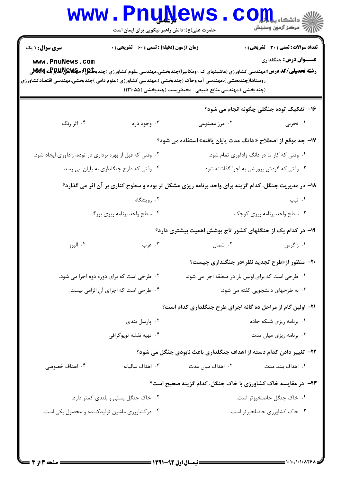| <b>سری سوال : ۱ یک</b>                                    | <b>زمان آزمون (دقیقه) : تستی : 60 ٪ تشریحی : 0</b> |                                                                                                                                                                                                                                                                                                               | <b>تعداد سوالات : تستی : 30 ٪ تشریحی : 0</b>          |
|-----------------------------------------------------------|----------------------------------------------------|---------------------------------------------------------------------------------------------------------------------------------------------------------------------------------------------------------------------------------------------------------------------------------------------------------------|-------------------------------------------------------|
| www.PnuNews.com                                           |                                                    | <b>رشته تحصیلی/کد درس:</b> مهندسی کشاورزی (ماشینهای ک ×ومکانیزا)چندبخشی،مهندسی علوم کشاورزی (چندب <b>خلیج) مچهلایپالیلیوچی MSvjv</b><br>.<br>روستاها(چندبخشی )،مهندسی آب وخاک (چندبخشی )،مهندسی کشاورزی (علوم دامی )چندبخشی،مهندسی اقتصادکشاورزی<br>(چندبخشی )،مهندسی منابع طبیعی -محیطزیست (چندبخشی )۱۱۲۱۰۵۵ | <b>عنـــوان درس:</b> جنگلداری                         |
|                                                           |                                                    |                                                                                                                                                                                                                                                                                                               | ۱۶- تفکیک توده جنگلی چگونه انجام می شود؟              |
| ۰۴ اثر رنگ                                                | ۰۳ وجود دره                                        | ۰۲ مرز مصنوعی                                                                                                                                                                                                                                                                                                 | ۰۱ تجربی                                              |
|                                                           |                                                    | ۱۷– چه موقع از اصطلاح « دانگ مدت پایان یافته» استفاده می شود؟                                                                                                                                                                                                                                                 |                                                       |
| ۰۲ وقتی که قبل از بهره برداری در توده، زادآوری ایجاد شود. |                                                    |                                                                                                                                                                                                                                                                                                               | ۰۱ وقتی که کار ما در دانگ زادآوری تمام شود.           |
|                                                           | ۰۴ وقتی که طرح جنگلداری به پایان می رسد.           |                                                                                                                                                                                                                                                                                                               | ۰۳ وقتی که گردش پرورشی به اجرا گذاشته شود.            |
|                                                           |                                                    | ۱۸- در مدیریت جنگل، کدام گزینه برای واحد برنامه ریزی مشکل تر بوده و سطوح کناری بر آن اثر می گذارد؟                                                                                                                                                                                                            |                                                       |
|                                                           | ۰۲ رویشگاه                                         |                                                                                                                                                                                                                                                                                                               | ۰۱ تيپ                                                |
|                                                           | ۰۴ سطح واحد برنامه ریزی بزرگ                       |                                                                                                                                                                                                                                                                                                               | ۰۳ سطح واحد برنامه ريزي كوچك                          |
|                                                           |                                                    | ۱۹- در کدام یک از جنگلهای کشور تاج پوشش اهمیت بیشتری دارد؟                                                                                                                                                                                                                                                    |                                                       |
| ۰۴ البرز                                                  | ۰۳ غرب                                             | ۰۲ شمال                                                                                                                                                                                                                                                                                                       | ۰۱ زاگرس                                              |
|                                                           |                                                    |                                                                                                                                                                                                                                                                                                               | <b>۲۰</b> - منظور از «طرح تجدید نظر»در جنگلداری چیست؟ |
| ۰۲ طرحی است که برای دوره دوم اجرا می شود.                 |                                                    | ٠١ طرحى است كه براى اولين بار در منطقه اجرا مى شود.                                                                                                                                                                                                                                                           |                                                       |
|                                                           | ۰۴ طرحی است که اجرای آن الزامی نیست.               |                                                                                                                                                                                                                                                                                                               | ۰۳ به طرحهای دانشجویی گفته می شود.                    |
|                                                           |                                                    | <b>۲۱</b> - اولین گام از مراحل ده گانه اجرای طرح جنگلداری کدام است؟                                                                                                                                                                                                                                           |                                                       |
|                                                           | ۰۲ پارسل بندی                                      |                                                                                                                                                                                                                                                                                                               | ۰۱ برنامه ریزی شبکه جاده                              |
|                                                           | ۰۴ تهیه نقشه توپوگرافی                             |                                                                                                                                                                                                                                                                                                               | ۰۳ برنامه ریزی میان مدت                               |
|                                                           |                                                    | ۲۲- تغییر دادن کدام دسته از اهداف جنگلداری باعث نابودی جنگل می شود؟                                                                                                                                                                                                                                           |                                                       |
| ۰۴ اهداف خصوصی                                            | ۰۳ اهداف ساليانه                                   | ۰۲ اهداف میان مدت                                                                                                                                                                                                                                                                                             | ٠١. اهداف بلند مدت                                    |
|                                                           |                                                    | <b>۲۳</b> - در مقایسه خاک کشاورزی با خاک جنگل، کدام گزینه صحیح است؟                                                                                                                                                                                                                                           |                                                       |
|                                                           | ۰۲ خاک جنگل پستی و بلندی کمتر دارد.                |                                                                                                                                                                                                                                                                                                               | ٠١. خاک جنگل حاصلخيزتر است.                           |
| ۰۴ در کشاورزی ماشین تولیدکننده و محصول یکی است.           |                                                    |                                                                                                                                                                                                                                                                                                               | ٠٣ خاک کشاورزي حاصلخيزتر است.                         |